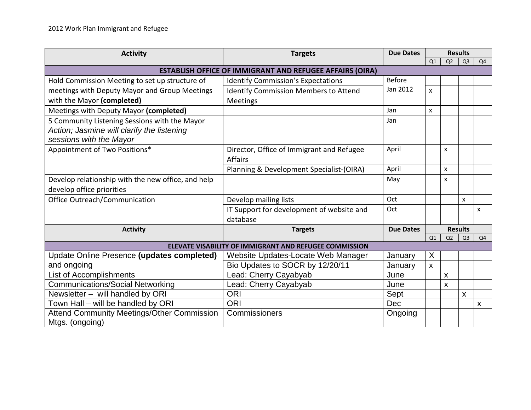| <b>Activity</b>                                                 | <b>Targets</b>                               | <b>Due Dates</b> | <b>Results</b>     |                |                           |                |  |
|-----------------------------------------------------------------|----------------------------------------------|------------------|--------------------|----------------|---------------------------|----------------|--|
|                                                                 |                                              |                  | Q1                 | Q2             | Q <sub>3</sub>            | Q4             |  |
| <b>ESTABLISH OFFICE OF IMMIGRANT AND REFUGEE AFFAIRS (OIRA)</b> |                                              |                  |                    |                |                           |                |  |
| Hold Commission Meeting to set up structure of                  | <b>Identify Commission's Expectations</b>    | <b>Before</b>    |                    |                |                           |                |  |
| meetings with Deputy Mayor and Group Meetings                   | <b>Identify Commission Members to Attend</b> | Jan 2012         | X                  |                |                           |                |  |
| with the Mayor (completed)                                      | Meetings                                     |                  |                    |                |                           |                |  |
| Meetings with Deputy Mayor (completed)                          |                                              | Jan              | X                  |                |                           |                |  |
| 5 Community Listening Sessions with the Mayor                   |                                              | Jan              |                    |                |                           |                |  |
| Action; Jasmine will clarify the listening                      |                                              |                  |                    |                |                           |                |  |
| sessions with the Mayor                                         |                                              |                  |                    |                |                           |                |  |
| Appointment of Two Positions*                                   | Director, Office of Immigrant and Refugee    | April            |                    | X              |                           |                |  |
|                                                                 | <b>Affairs</b>                               |                  |                    |                |                           |                |  |
|                                                                 | Planning & Development Specialist-(OIRA)     | April            |                    | $\mathsf{x}$   |                           |                |  |
| Develop relationship with the new office, and help              |                                              | May              |                    | X              |                           |                |  |
| develop office priorities                                       |                                              |                  |                    |                |                           |                |  |
| Office Outreach/Communication                                   | Develop mailing lists                        | Oct              |                    |                | X                         |                |  |
|                                                                 | IT Support for development of website and    | Oct              |                    |                |                           | X              |  |
|                                                                 | database                                     |                  |                    |                |                           |                |  |
| <b>Activity</b>                                                 | <b>Targets</b>                               | <b>Due Dates</b> | <b>Results</b>     |                |                           |                |  |
|                                                                 |                                              |                  | Q1                 | Q <sub>2</sub> | Q <sub>3</sub>            | Q4             |  |
| ELEVATE VISABILITY OF IMMIGRANT AND REFUGEE COMMISSION          |                                              |                  |                    |                |                           |                |  |
| Update Online Presence (updates completed)                      | Website Updates-Locate Web Manager           | January          | X                  |                |                           |                |  |
| and ongoing                                                     | Bio Updates to SOCR by 12/20/11              | January          | $\pmb{\mathsf{X}}$ |                |                           |                |  |
| List of Accomplishments                                         | Lead: Cherry Cayabyab                        | June             |                    | $\mathsf{x}$   |                           |                |  |
| Communications/Social Networking                                | Lead: Cherry Cayabyab                        | June             |                    | X              |                           |                |  |
| Newsletter - will handled by ORI                                | <b>ORI</b>                                   | Sept             |                    |                | $\boldsymbol{\mathsf{X}}$ |                |  |
| Town Hall – will be handled by ORI                              | <b>ORI</b>                                   | Dec              |                    |                |                           | $\pmb{\times}$ |  |
| <b>Attend Community Meetings/Other Commission</b>               | Commissioners                                | Ongoing          |                    |                |                           |                |  |
| Mtgs. (ongoing)                                                 |                                              |                  |                    |                |                           |                |  |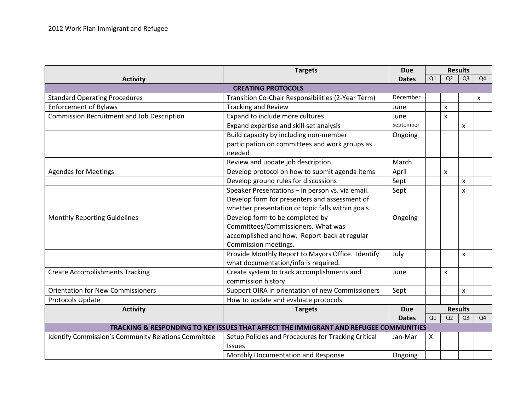|                                                                                       | <b>Targets</b>                                      | <b>Due</b>   | <b>Results</b> |                |                |                |
|---------------------------------------------------------------------------------------|-----------------------------------------------------|--------------|----------------|----------------|----------------|----------------|
| <b>Activity</b>                                                                       |                                                     | <b>Dates</b> | Q1             | Q2             | Q <sub>3</sub> | Q4             |
| <b>CREATING PROTOCOLS</b>                                                             |                                                     |              |                |                |                |                |
| <b>Standard Operating Procedures</b>                                                  | Transition Co-Chair Responsibilities (2-Year Term)  | December     |                |                |                | X              |
| <b>Enforcement of Bylaws</b>                                                          | <b>Tracking and Review</b>                          | June         |                | $\pmb{\times}$ |                |                |
| <b>Commission Recruitment and Job Description</b>                                     | Expand to include more cultures                     | June         |                | X              |                |                |
|                                                                                       | Expand expertise and skill-set analysis             | September    |                |                | X              |                |
|                                                                                       | Build capacity by including non-member              | Ongoing      |                |                |                |                |
|                                                                                       | participation on committees and work groups as      |              |                |                |                |                |
|                                                                                       | needed                                              |              |                |                |                |                |
|                                                                                       | Review and update job description                   | March        |                |                |                |                |
| <b>Agendas for Meetings</b>                                                           | Develop protocol on how to submit agenda items      | April        |                | X              |                |                |
|                                                                                       | Develop ground rules for discussions                | Sept         |                |                | X              |                |
|                                                                                       | Speaker Presentations - in person vs. via email.    | Sept         |                |                | x              |                |
|                                                                                       | Develop form for presenters and assessment of       |              |                |                |                |                |
|                                                                                       | whether presentation or topic falls within goals.   |              |                |                |                |                |
| <b>Monthly Reporting Guidelines</b>                                                   | Develop form to be completed by                     | Ongoing      |                |                |                |                |
|                                                                                       | Committees/Commissioners. What was                  |              |                |                |                |                |
|                                                                                       | accomplished and how. Report-back at regular        |              |                |                |                |                |
|                                                                                       | Commission meetings.                                |              |                |                |                |                |
|                                                                                       | Provide Monthly Report to Mayors Office. Identify   | July         |                |                | X              |                |
|                                                                                       | what documentation/info is required.                |              |                |                |                |                |
| <b>Create Accomplishments Tracking</b>                                                | Create system to track accomplishments and          | June         |                | X              |                |                |
|                                                                                       | commission history                                  |              |                |                |                |                |
| <b>Orientation for New Commissioners</b>                                              | Support OIRA in orientation of new Commissioners    | Sept         |                |                | X              |                |
| Protocols Update                                                                      | How to update and evaluate protocols                |              |                |                |                |                |
| <b>Activity</b>                                                                       | <b>Targets</b><br><b>Due</b>                        |              | <b>Results</b> |                |                |                |
|                                                                                       |                                                     | <b>Dates</b> | Q1             | Q <sub>2</sub> | Q <sub>3</sub> | Q <sub>4</sub> |
| TRACKING & RESPONDING TO KEY ISSUES THAT AFFECT THE IMMIGRANT AND REFUGEE COMMUNITIES |                                                     |              |                |                |                |                |
| Identify Commission's Community Relations Committee                                   | Setup Policies and Procedures for Tracking Critical | Jan-Mar      | X              |                |                |                |
|                                                                                       | <b>Issues</b>                                       |              |                |                |                |                |
|                                                                                       | Monthly Documentation and Response                  | Ongoing      |                |                |                |                |